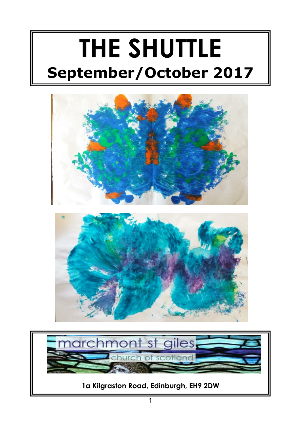# **THE SHUTTLE September/October 2017**



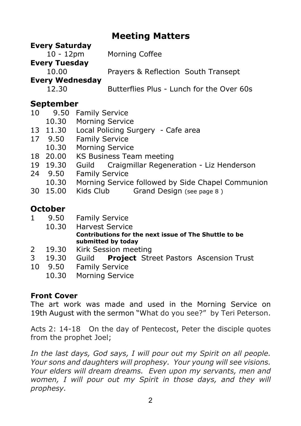### **Meeting Matters**

### **Every Saturday**

10 - 12pm Morning Coffee

### **Every Tuesday**

10.00 Prayers & Reflection South Transept

### **Every Wednesday**

12.30 Butterflies Plus - Lunch for the Over 60s

### **September**

- 10 9.50 Family Service
- 10.30 Morning Service
- 13 11.30 Local Policing Surgery Cafe area
- 17 9.50 Family Service
- 10.30 Morning Service<br>18 20.00 KS Business Tea
- 18 20.00 KS Business Team meeting<br>19 19.30 Guild Craigmillar Regene
- 19 19.30 Guild Craigmillar Regeneration Liz Henderson
- 24 9.50 Family Service
- 10.30 Morning Service followed by Side Chapel Communion
- 30 15.00 Kids Club Grand Design (see page 8 )

### **October**

- 1 9.50 Family Service
	- 10.30 Harvest Service **Contributions for the next issue of The Shuttle to be submitted by today**
- 2 19.30 Kirk Session meeting
- 3 19.30 Guild **Project** Street Pastors Ascension Trust
- 10 9.50 Family Service
	- 10.30 Morning Service

### **Front Cover**

The art work was made and used in the Morning Service on 19th August with the sermon "What do you see?" by Teri Peterson.

Acts 2: 14-18 On the day of Pentecost, Peter the disciple quotes from the prophet Joel;

*In the last days, God says, I will pour out my Spirit on all people. Your sons and daughters will prophesy. Your young will see visions. Your elders will dream dreams. Even upon my servants, men and women, I will pour out my Spirit in those days, and they will prophesy.*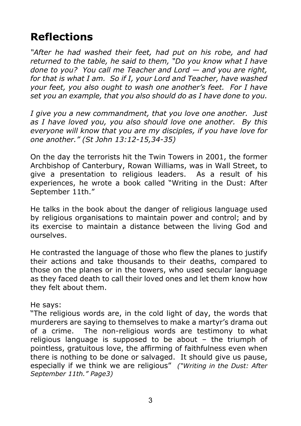# **Reflections**

*"After he had washed their feet, had put on his robe, and had returned to the table, he said to them, "Do you know what I have done to you? You call me Teacher and Lord — and you are right, for that is what I am. So if I, your Lord and Teacher, have washed your feet, you also ought to wash one another's feet. For I have set you an example, that you also should do as I have done to you.*

*I give you a new commandment, that you love one another. Just as I have loved you, you also should love one another. By this everyone will know that you are my disciples, if you have love for one another." (St John 13:12-15,34-35)*

On the day the terrorists hit the Twin Towers in 2001, the former Archbishop of Canterbury, Rowan Williams, was in Wall Street, to give a presentation to religious leaders. As a result of his experiences, he wrote a book called "Writing in the Dust: After September 11th."

He talks in the book about the danger of religious language used by religious organisations to maintain power and control; and by its exercise to maintain a distance between the living God and ourselves.

He contrasted the language of those who flew the planes to justify their actions and take thousands to their deaths, compared to those on the planes or in the towers, who used secular language as they faced death to call their loved ones and let them know how they felt about them.

He says:

"The religious words are, in the cold light of day, the words that murderers are saying to themselves to make a martyr's drama out of a crime. The non-religious words are testimony to what religious language is supposed to be about – the triumph of pointless, gratuitous love, the affirming of faithfulness even when there is nothing to be done or salvaged. It should give us pause, especially if we think we are religious" *("Writing in the Dust: After September 11th." Page3)*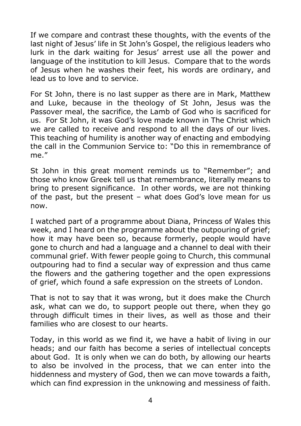If we compare and contrast these thoughts, with the events of the last night of Jesus' life in St John's Gospel, the religious leaders who lurk in the dark waiting for Jesus' arrest use all the power and language of the institution to kill Jesus. Compare that to the words of Jesus when he washes their feet, his words are ordinary, and lead us to love and to service.

For St John, there is no last supper as there are in Mark, Matthew and Luke, because in the theology of St John, Jesus was the Passover meal, the sacrifice, the Lamb of God who is sacrificed for us. For St John, it was God's love made known in The Christ which we are called to receive and respond to all the days of our lives. This teaching of humility is another way of enacting and embodying the call in the Communion Service to: "Do this in remembrance of me."

St John in this great moment reminds us to "Remember"; and those who know Greek tell us that remembrance, literally means to bring to present significance. In other words, we are not thinking of the past, but the present – what does God's love mean for us now.

I watched part of a programme about Diana, Princess of Wales this week, and I heard on the programme about the outpouring of grief; how it may have been so, because formerly, people would have gone to church and had a language and a channel to deal with their communal grief. With fewer people going to Church, this communal outpouring had to find a secular way of expression and thus came the flowers and the gathering together and the open expressions of grief, which found a safe expression on the streets of London.

That is not to say that it was wrong, but it does make the Church ask, what can we do, to support people out there, when they go through difficult times in their lives, as well as those and their families who are closest to our hearts.

Today, in this world as we find it, we have a habit of living in our heads; and our faith has become a series of intellectual concepts about God. It is only when we can do both, by allowing our hearts to also be involved in the process, that we can enter into the hiddenness and mystery of God, then we can move towards a faith, which can find expression in the unknowing and messiness of faith.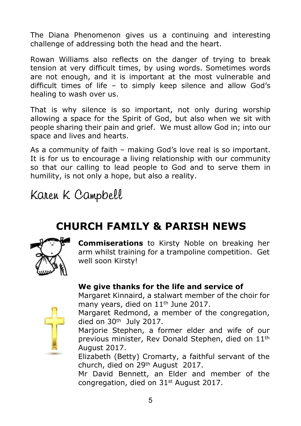The Diana Phenomenon gives us a continuing and interesting challenge of addressing both the head and the heart.

Rowan Williams also reflects on the danger of trying to break tension at very difficult times, by using words. Sometimes words are not enough, and it is important at the most vulnerable and difficult times of life – to simply keep silence and allow God's healing to wash over us.

That is why silence is so important, not only during worship allowing a space for the Spirit of God, but also when we sit with people sharing their pain and grief. We must allow God in; into our space and lives and hearts.

As a community of faith – making God's love real is so important. It is for us to encourage a living relationship with our community so that our calling to lead people to God and to serve them in humility, is not only a hope, but also a reality.

Karen K Campbell

## **CHURCH FAMILY & PARISH NEWS**



**Commiserations** to Kirsty Noble on breaking her arm whilst training for a trampoline competition. Get well soon Kirsty!

### **We give thanks for the life and service of**

Margaret Kinnaird, a stalwart member of the choir for many years, died on 11<sup>th</sup> June 2017.



Margaret Redmond, a member of the congregation, died on 30th July 2017.

Marjorie Stephen, a former elder and wife of our previous minister, Rev Donald Stephen, died on 11th August 2017.

Elizabeth (Betty) Cromarty, a faithful servant of the church, died on 29th August 2017.

Mr David Bennett, an Elder and member of the congregation, died on 31st August 2017.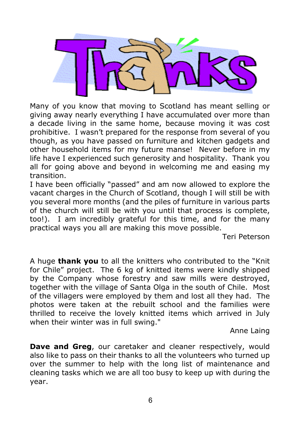

Many of you know that moving to Scotland has meant selling or giving away nearly everything I have accumulated over more than a decade living in the same home, because moving it was cost prohibitive. I wasn't prepared for the response from several of you though, as you have passed on furniture and kitchen gadgets and other household items for my future manse! Never before in my life have I experienced such generosity and hospitality. Thank you all for going above and beyond in welcoming me and easing my transition.

I have been officially "passed" and am now allowed to explore the vacant charges in the Church of Scotland, though I will still be with you several more months (and the piles of furniture in various parts of the church will still be with you until that process is complete, too!). I am incredibly grateful for this time, and for the many practical ways you all are making this move possible.

Teri Peterson

A huge **thank you** to all the knitters who contributed to the "Knit for Chile" project. The 6 kg of knitted items were kindly shipped by the Company whose forestry and saw mills were destroyed, together with the village of Santa Olga in the south of Chile. Most of the villagers were employed by them and lost all they had. The photos were taken at the rebuilt school and the families were thrilled to receive the lovely knitted items which arrived in July when their winter was in full swing."

Anne Laing

Dave and Greg, our caretaker and cleaner respectively, would also like to pass on their thanks to all the volunteers who turned up over the summer to help with the long list of maintenance and cleaning tasks which we are all too busy to keep up with during the year.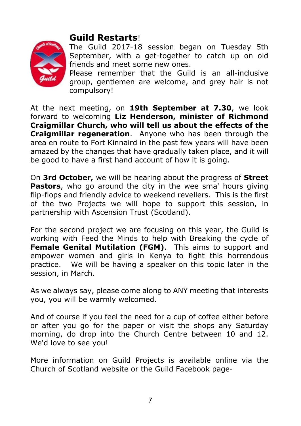### **Guild Restarts**!



The Guild 2017-18 session began on Tuesday 5th September, with a get-together to catch up on old friends and meet some new ones.

Please remember that the Guild is an all-inclusive group, gentlemen are welcome, and grey hair is not compulsory!

At the next meeting, on **19th September at 7.30**, we look forward to welcoming **Liz Henderson, minister of Richmond Craigmillar Church, who will tell us about the effects of the Craigmillar regeneration**. Anyone who has been through the area en route to Fort Kinnaird in the past few years will have been amazed by the changes that have gradually taken place, and it will be good to have a first hand account of how it is going.

On **3rd October,** we will be hearing about the progress of **Street Pastors**, who go around the city in the wee sma' hours giving flip-flops and friendly advice to weekend revellers. This is the first of the two Projects we will hope to support this session, in partnership with Ascension Trust (Scotland).

For the second project we are focusing on this year, the Guild is working with Feed the Minds to help with Breaking the cycle of **Female Genital Mutilation (FGM)**. This aims to support and empower women and girls in Kenya to fight this horrendous practice. We will be having a speaker on this topic later in the session, in March.

As we always say, please come along to ANY meeting that interests you, you will be warmly welcomed.

And of course if you feel the need for a cup of coffee either before or after you go for the paper or visit the shops any Saturday morning, do drop into the Church Centre between 10 and 12. We'd love to see you!

More information on Guild Projects is available online via the Church of Scotland website or the Guild Facebook page-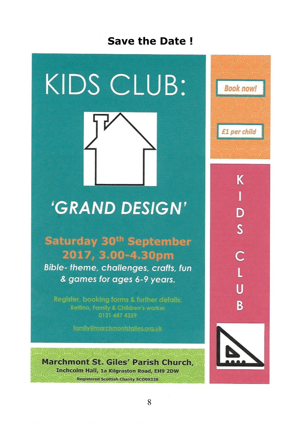### **Save the Date !**

# KIDS CLUB:



# 'GRAND DESIGN'

# **Saturday 30th September** 2017, 3.00-4.30pm

Bible-theme, challenges, crafts, fun & games for ages 6-9 years.

Register, booking forms & further details: Betting, Family & Children's worker 0131 447 4359

Marchmont St. Giles' Parish Church, Inchcolm Hall, 1a Kilgraston Road, EH9 2DW **Registered Scottish Charity SCO09338** 



K D  $\overline{\mathsf{S}}$  $\overline{\mathsf{C}}$  $\overline{\mathsf{L}}$ Ù B

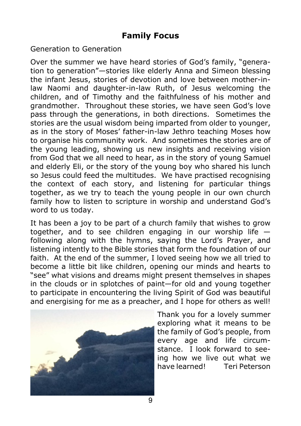### **Family Focus**

Generation to Generation

Over the summer we have heard stories of God's family, "generation to generation"—stories like elderly Anna and Simeon blessing the infant Jesus, stories of devotion and love between mother-inlaw Naomi and daughter-in-law Ruth, of Jesus welcoming the children, and of Timothy and the faithfulness of his mother and grandmother. Throughout these stories, we have seen God's love pass through the generations, in both directions. Sometimes the stories are the usual wisdom being imparted from older to younger, as in the story of Moses' father-in-law Jethro teaching Moses how to organise his community work. And sometimes the stories are of the young leading, showing us new insights and receiving vision from God that we all need to hear, as in the story of young Samuel and elderly Eli, or the story of the young boy who shared his lunch so Jesus could feed the multitudes. We have practised recognising the context of each story, and listening for particular things together, as we try to teach the young people in our own church family how to listen to scripture in worship and understand God's word to us today.

It has been a joy to be part of a church family that wishes to grow together, and to see children engaging in our worship life  $$ following along with the hymns, saying the Lord's Prayer, and listening intently to the Bible stories that form the foundation of our faith. At the end of the summer, I loved seeing how we all tried to become a little bit like children, opening our minds and hearts to "see" what visions and dreams might present themselves in shapes in the clouds or in splotches of paint—for old and young together to participate in encountering the living Spirit of God was beautiful and energising for me as a preacher, and I hope for others as well!



Thank you for a lovely summer exploring what it means to be the family of God's people, from every age and life circumstance. I look forward to seeing how we live out what we have learned! Teri Peterson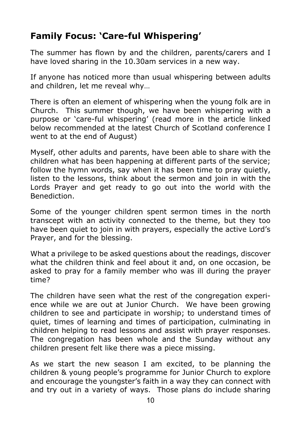### **Family Focus: 'Care-ful Whispering'**

The summer has flown by and the children, parents/carers and I have loved sharing in the 10.30am services in a new way.

If anyone has noticed more than usual whispering between adults and children, let me reveal why…

There is often an element of whispering when the young folk are in Church. This summer though, we have been whispering with a purpose or 'care-ful whispering' (read more in the article linked below recommended at the latest Church of Scotland conference I went to at the end of August)

Myself, other adults and parents, have been able to share with the children what has been happening at different parts of the service; follow the hymn words, say when it has been time to pray quietly, listen to the lessons, think about the sermon and join in with the Lords Prayer and get ready to go out into the world with the Benediction.

Some of the younger children spent sermon times in the north transcept with an activity connected to the theme, but they too have been quiet to join in with prayers, especially the active Lord's Prayer, and for the blessing.

What a privilege to be asked questions about the readings, discover what the children think and feel about it and, on one occasion, be asked to pray for a family member who was ill during the prayer time?

The children have seen what the rest of the congregation experience while we are out at Junior Church. We have been growing children to see and participate in worship; to understand times of quiet, times of learning and times of participation, culminating in children helping to read lessons and assist with prayer responses. The congregation has been whole and the Sunday without any children present felt like there was a piece missing.

As we start the new season I am excited, to be planning the children & young people's programme for Junior Church to explore and encourage the youngster's faith in a way they can connect with and try out in a variety of ways. Those plans do include sharing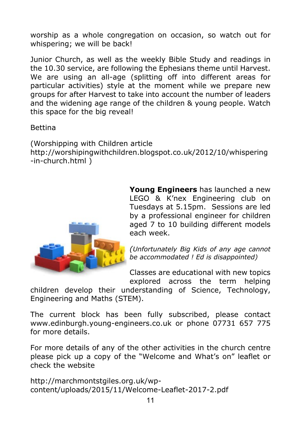worship as a whole congregation on occasion, so watch out for whispering; we will be back!

Junior Church, as well as the weekly Bible Study and readings in the 10.30 service, are following the Ephesians theme until Harvest. We are using an all-age (splitting off into different areas for particular activities) style at the moment while we prepare new groups for after Harvest to take into account the number of leaders and the widening age range of the children & young people. Watch this space for the big reveal!

#### Bettina

(Worshipping with Children article http://worshipingwithchildren.blogspot.co.uk/2012/10/whispering -in-church.html )



**Young Engineers** has launched a new LEGO & K'nex Engineering club on Tuesdays at 5.15pm. Sessions are led by a professional engineer for children aged 7 to 10 building different models each week.

*(Unfortunately Big Kids of any age cannot be accommodated ! Ed is disappointed)*

Classes are educational with new topics explored across the term helping

children develop their understanding of Science, Technology, Engineering and Maths (STEM).

The current block has been fully subscribed, please contact www.edinburgh.young-engineers.co.uk or phone 07731 657 775 for more details.

For more details of any of the other activities in the church centre please pick up a copy of the "Welcome and What's on" leaflet or check the website

http://marchmontstgiles.org.uk/wpcontent/uploads/2015/11/Welcome-Leaflet-2017-2.pdf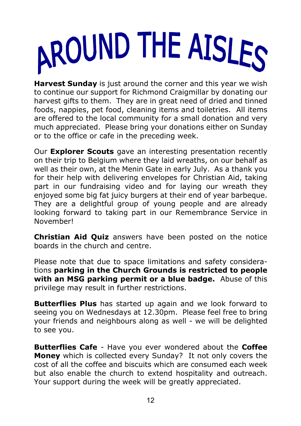# AROUND THE AISLES

**Harvest Sunday** is just around the corner and this year we wish to continue our support for Richmond Craigmillar by donating our harvest gifts to them. They are in great need of dried and tinned foods, nappies, pet food, cleaning items and toiletries. All items are offered to the local community for a small donation and very much appreciated. Please bring your donations either on Sunday or to the office or cafe in the preceding week.

Our **Explorer Scouts** gave an interesting presentation recently on their trip to Belgium where they laid wreaths, on our behalf as well as their own, at the Menin Gate in early July. As a thank you for their help with delivering envelopes for Christian Aid, taking part in our fundraising video and for laying our wreath they enjoyed some big fat juicy burgers at their end of year barbeque. They are a delightful group of young people and are already looking forward to taking part in our Remembrance Service in November!

**Christian Aid Quiz** answers have been posted on the notice boards in the church and centre.

Please note that due to space limitations and safety considerations **parking in the Church Grounds is restricted to people with an MSG parking permit or a blue badge.** Abuse of this privilege may result in further restrictions.

**Butterflies Plus** has started up again and we look forward to seeing you on Wednesdays at 12.30pm. Please feel free to bring your friends and neighbours along as well - we will be delighted to see you.

**Butterflies Cafe** - Have you ever wondered about the **Coffee Money** which is collected every Sunday? It not only covers the cost of all the coffee and biscuits which are consumed each week but also enable the church to extend hospitality and outreach. Your support during the week will be greatly appreciated.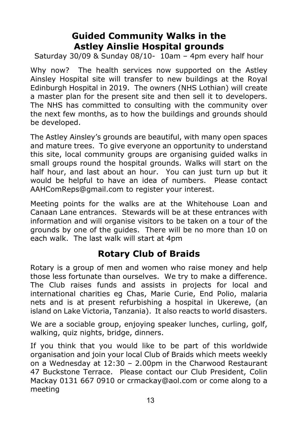### **Guided Community Walks in the Astley Ainslie Hospital grounds**

Saturday 30/09 & Sunday 08/10- 10am – 4pm every half hour

Why now? The health services now supported on the Astley Ainsley Hospital site will transfer to new buildings at the Royal Edinburgh Hospital in 2019. The owners (NHS Lothian) will create a master plan for the present site and then sell it to developers. The NHS has committed to consulting with the community over the next few months, as to how the buildings and grounds should be developed.

The Astley Ainsley's grounds are beautiful, with many open spaces and mature trees. To give everyone an opportunity to understand this site, local community groups are organising guided walks in small groups round the hospital grounds. Walks will start on the half hour, and last about an hour. You can just turn up but it would be helpful to have an idea of numbers. Please contact AAHComReps@gmail.com to register your interest.

Meeting points for the walks are at the Whitehouse Loan and Canaan Lane entrances. Stewards will be at these entrances with information and will organise visitors to be taken on a tour of the grounds by one of the guides. There will be no more than 10 on each walk. The last walk will start at 4pm

### **Rotary Club of Braids**

Rotary is a group of men and women who raise money and help those less fortunate than ourselves. We try to make a difference. The Club raises funds and assists in projects for local and international charities eg Chas, Marie Curie, End Polio, malaria nets and is at present refurbishing a hospital in Ukerewe, (an island on Lake Victoria, Tanzania). It also reacts to world disasters.

We are a sociable group, enjoying speaker lunches, curling, golf, walking, quiz nights, bridge, dinners.

If you think that you would like to be part of this worldwide organisation and join your local Club of Braids which meets weekly on a Wednesday at 12:30 – 2.00pm in the Charwood Restaurant 47 Buckstone Terrace. Please contact our Club President, Colin Mackay 0131 667 0910 or crmackay@aol.com or come along to a meeting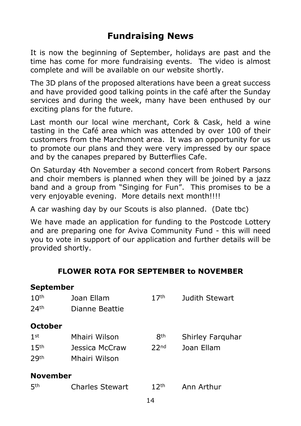### **Fundraising News**

It is now the beginning of September, holidays are past and the time has come for more fundraising events. The video is almost complete and will be available on our website shortly.

The 3D plans of the proposed alterations have been a great success and have provided good talking points in the café after the Sunday services and during the week, many have been enthused by our exciting plans for the future.

Last month our local wine merchant, Cork & Cask, held a wine tasting in the Café area which was attended by over 100 of their customers from the Marchmont area. It was an opportunity for us to promote our plans and they were very impressed by our space and by the canapes prepared by Butterflies Cafe.

On Saturday 4th November a second concert from Robert Parsons and choir members is planned when they will be joined by a jazz band and a group from "Singing for Fun". This promises to be a very enjoyable evening. More details next month!!!!

A car washing day by our Scouts is also planned. (Date tbc)

We have made an application for funding to the Postcode Lottery and are preparing one for Aviva Community Fund - this will need you to vote in support of our application and further details will be provided shortly.

#### **FLOWER ROTA FOR SEPTEMBER to NOVEMBER**

| <b>September</b> |                        |                  |                  |
|------------------|------------------------|------------------|------------------|
| 10 <sup>th</sup> | Joan Ellam             | 17 <sup>th</sup> | Judith Stewart   |
| 24 <sup>th</sup> | Dianne Beattie         |                  |                  |
| <b>October</b>   |                        |                  |                  |
| $1$ st           | Mhairi Wilson          | <b>Rth</b>       | Shirley Farguhar |
| 15 <sup>th</sup> | Jessica McCraw         | 22 <sub>nd</sub> | Joan Ellam       |
| 29th             | Mhairi Wilson          |                  |                  |
| <b>November</b>  |                        |                  |                  |
| <b>Ҕth</b>       | <b>Charles Stewart</b> | 12 <sup>th</sup> | Ann Arthur       |
|                  |                        | . .              |                  |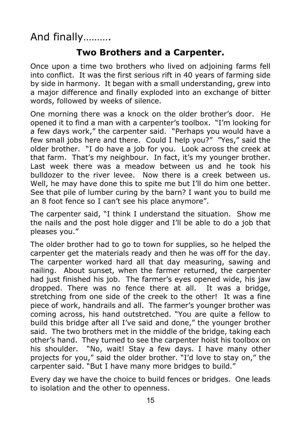And finally……….

### **Two Brothers and a Carpenter.**

Once upon a time two brothers who lived on adjoining farms fell into conflict. It was the first serious rift in 40 years of farming side by side in harmony. It began with a small understanding, grew into a major difference and finally exploded into an exchange of bitter words, followed by weeks of silence.

One morning there was a knock on the older brother's door. He opened it to find a man with a carpenter's toolbox. "I'm looking for a few days work," the carpenter said. "Perhaps you would have a few small jobs here and there. Could I help you?" "Yes," said the older brother. "I do have a job for you. Look across the creek at that farm. That's my neighbour. In fact, it's my younger brother. Last week there was a meadow between us and he took his bulldozer to the river levee. Now there is a creek between us. Well, he may have done this to spite me but I'll do him one better. See that pile of lumber curing by the barn? I want you to build me an 8 foot fence so I can't see his place anymore".

The carpenter said, "I think I understand the situation. Show me the nails and the post hole digger and I'll be able to do a job that pleases you."

The older brother had to go to town for supplies, so he helped the carpenter get the materials ready and then he was off for the day. The carpenter worked hard all that day measuring, sawing and nailing. About sunset, when the farmer returned, the carpenter had just finished his job. The farmer's eyes opened wide, his jaw dropped. There was no fence there at all. It was a bridge, stretching from one side of the creek to the other! It was a fine piece of work, handrails and all. The farmer's younger brother was coming across, his hand outstretched. "You are quite a fellow to build this bridge after all I've said and done," the younger brother said. The two brothers met in the middle of the bridge, taking each other's hand. They turned to see the carpenter hoist his toolbox on his shoulder. "No, wait! Stay a few days. I have many other projects for you," said the older brother. "I'd love to stay on," the carpenter said. "But I have many more bridges to build."

Every day we have the choice to build fences or bridges. One leads to isolation and the other to openness.